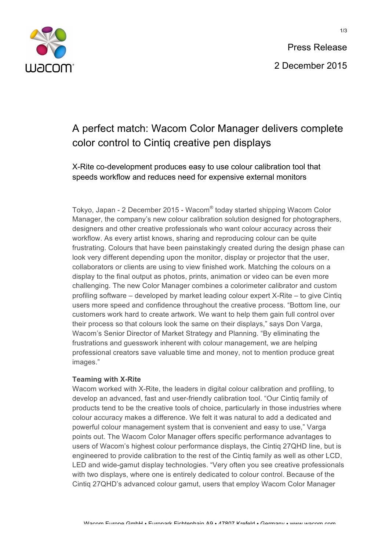

## A perfect match: Wacom Color Manager delivers complete color control to Cintiq creative pen displays

X-Rite co-development produces easy to use colour calibration tool that speeds workflow and reduces need for expensive external monitors

Tokyo, Japan - 2 December 2015 - Wacom® today started shipping Wacom Color Manager, the company's new colour calibration solution designed for photographers, designers and other creative professionals who want colour accuracy across their workflow. As every artist knows, sharing and reproducing colour can be quite frustrating. Colours that have been painstakingly created during the design phase can look very different depending upon the monitor, display or projector that the user, collaborators or clients are using to view finished work. Matching the colours on a display to the final output as photos, prints, animation or video can be even more challenging. The new Color Manager combines a colorimeter calibrator and custom profiling software – developed by market leading colour expert X-Rite – to give Cintiq users more speed and confidence throughout the creative process. "Bottom line, our customers work hard to create artwork. We want to help them gain full control over their process so that colours look the same on their displays," says Don Varga, Wacom's Senior Director of Market Strategy and Planning. "By eliminating the frustrations and guesswork inherent with colour management, we are helping professional creators save valuable time and money, not to mention produce great images."

### **Teaming with X-Rite**

Wacom worked with X-Rite, the leaders in digital colour calibration and profiling, to develop an advanced, fast and user-friendly calibration tool. "Our Cintiq family of products tend to be the creative tools of choice, particularly in those industries where colour accuracy makes a difference. We felt it was natural to add a dedicated and powerful colour management system that is convenient and easy to use," Varga points out. The Wacom Color Manager offers specific performance advantages to users of Wacom's highest colour performance displays, the Cintiq 27QHD line, but is engineered to provide calibration to the rest of the Cintiq family as well as other LCD, LED and wide-gamut display technologies. "Very often you see creative professionals with two displays, where one is entirely dedicated to colour control. Because of the Cintiq 27QHD's advanced colour gamut, users that employ Wacom Color Manager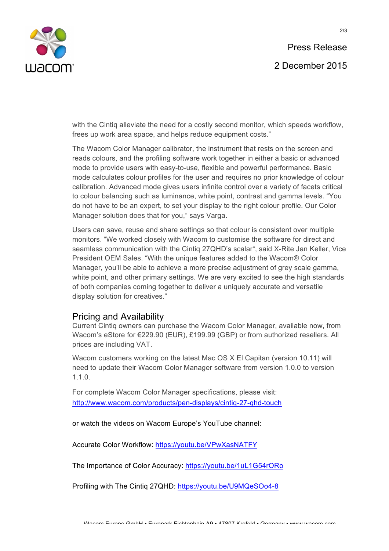

with the Cintiq alleviate the need for a costly second monitor, which speeds workflow, frees up work area space, and helps reduce equipment costs."

The Wacom Color Manager calibrator, the instrument that rests on the screen and reads colours, and the profiling software work together in either a basic or advanced mode to provide users with easy-to-use, flexible and powerful performance. Basic mode calculates colour profiles for the user and requires no prior knowledge of colour calibration. Advanced mode gives users infinite control over a variety of facets critical to colour balancing such as luminance, white point, contrast and gamma levels. "You do not have to be an expert, to set your display to the right colour profile. Our Color Manager solution does that for you," says Varga.

Users can save, reuse and share settings so that colour is consistent over multiple monitors. "We worked closely with Wacom to customise the software for direct and seamless communication with the Cintiq 27QHD's scalar", said X-Rite Jan Keller, Vice President OEM Sales. "With the unique features added to the Wacom® Color Manager, you'll be able to achieve a more precise adjustment of grey scale gamma, white point, and other primary settings. We are very excited to see the high standards of both companies coming together to deliver a uniquely accurate and versatile display solution for creatives."

### Pricing and Availability

Current Cintiq owners can purchase the Wacom Color Manager, available now, from Wacom's eStore for €229.90 (EUR), £199.99 (GBP) or from authorized resellers. All prices are including VAT.

Wacom customers working on the latest Mac OS X El Capitan (version 10.11) will need to update their Wacom Color Manager software from version 1.0.0 to version 1.1.0.

For complete Wacom Color Manager specifications, please visit: http://www.wacom.com/products/pen-displays/cintiq-27-qhd-touch

or watch the videos on Wacom Europe's YouTube channel:

Accurate Color Workflow: https://youtu.be/VPwXasNATFY

The Importance of Color Accuracy: https://youtu.be/1uL1G54rORo

Profiling with The Cintiq 27QHD: https://youtu.be/U9MQeSOo4-8